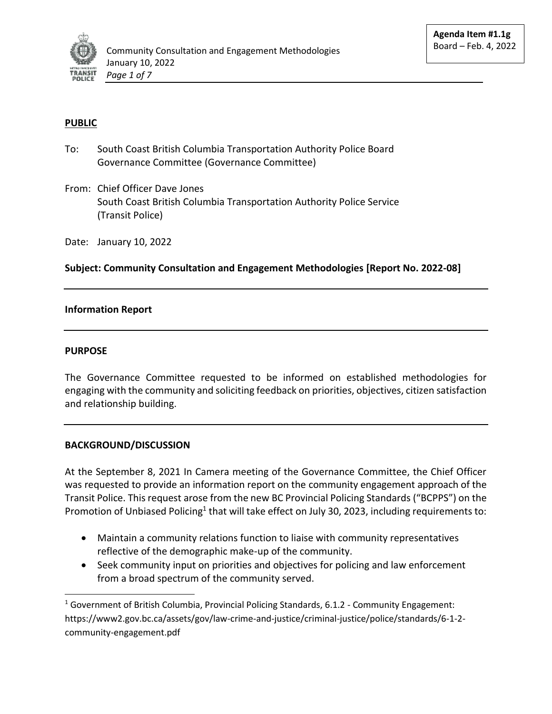

# **PUBLIC**

- To: South Coast British Columbia Transportation Authority Police Board Governance Committee (Governance Committee)
- From: Chief Officer Dave Jones South Coast British Columbia Transportation Authority Police Service (Transit Police)

Date: January 10, 2022

**Subject: Community Consultation and Engagement Methodologies [Report No. 2022-08]**

### **Information Report**

#### **PURPOSE**

l

The Governance Committee requested to be informed on established methodologies for engaging with the community and soliciting feedback on priorities, objectives, citizen satisfaction and relationship building.

### **BACKGROUND/DISCUSSION**

At the September 8, 2021 In Camera meeting of the Governance Committee, the Chief Officer was requested to provide an information report on the community engagement approach of the Transit Police. This request arose from the new BC Provincial Policing Standards ("BCPPS") on the Promotion of Unbiased Policing<sup>1</sup> that will take effect on July 30, 2023, including requirements to:

- Maintain a community relations function to liaise with community representatives reflective of the demographic make-up of the community.
- Seek community input on priorities and objectives for policing and law enforcement from a broad spectrum of the community served.

<sup>&</sup>lt;sup>1</sup> Government of British Columbia, Provincial Policing Standards, 6.1.2 - Community Engagement: https://www2.gov.bc.ca/assets/gov/law-crime-and-justice/criminal-justice/police/standards/6-1-2 community-engagement.pdf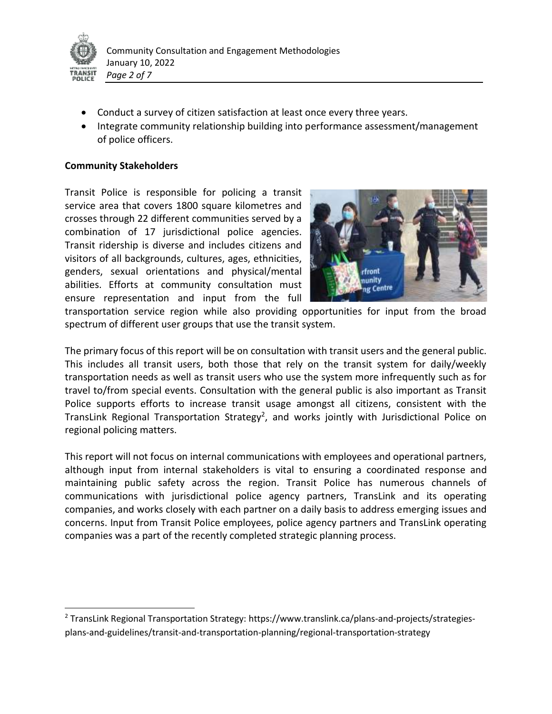

l

- Conduct a survey of citizen satisfaction at least once every three years.
- Integrate community relationship building into performance assessment/management of police officers.

### **Community Stakeholders**

Transit Police is responsible for policing a transit service area that covers 1800 square kilometres and crosses through 22 different communities served by a combination of 17 jurisdictional police agencies. Transit ridership is diverse and includes citizens and visitors of all backgrounds, cultures, ages, ethnicities, genders, sexual orientations and physical/mental abilities. Efforts at community consultation must ensure representation and input from the full



transportation service region while also providing opportunities for input from the broad spectrum of different user groups that use the transit system.

The primary focus of this report will be on consultation with transit users and the general public. This includes all transit users, both those that rely on the transit system for daily/weekly transportation needs as well as transit users who use the system more infrequently such as for travel to/from special events. Consultation with the general public is also important as Transit Police supports efforts to increase transit usage amongst all citizens, consistent with the TransLink Regional Transportation Strategy<sup>2</sup>, and works jointly with Jurisdictional Police on regional policing matters.

This report will not focus on internal communications with employees and operational partners, although input from internal stakeholders is vital to ensuring a coordinated response and maintaining public safety across the region. Transit Police has numerous channels of communications with jurisdictional police agency partners, TransLink and its operating companies, and works closely with each partner on a daily basis to address emerging issues and concerns. Input from Transit Police employees, police agency partners and TransLink operating companies was a part of the recently completed strategic planning process.

<sup>2</sup> TransLink Regional Transportation Strategy: https://www.translink.ca/plans-and-projects/strategiesplans-and-guidelines/transit-and-transportation-planning/regional-transportation-strategy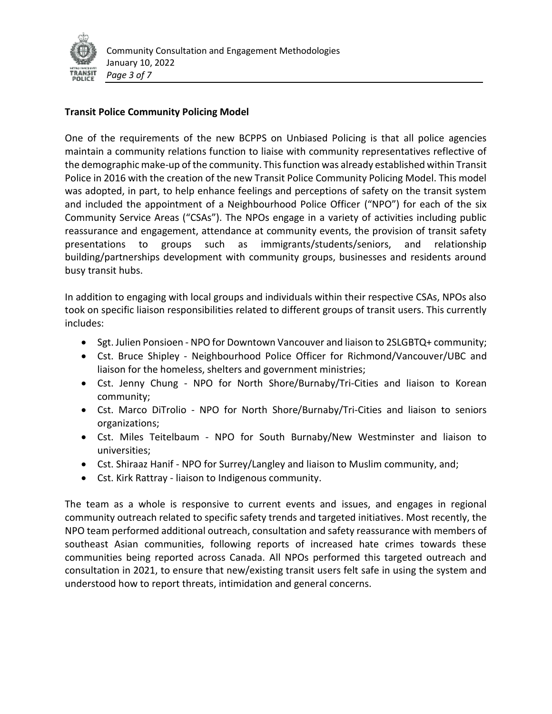

## **Transit Police Community Policing Model**

One of the requirements of the new BCPPS on Unbiased Policing is that all police agencies maintain a community relations function to liaise with community representatives reflective of the demographic make-up of the community. This function was already established within Transit Police in 2016 with the creation of the new Transit Police Community Policing Model. This model was adopted, in part, to help enhance feelings and perceptions of safety on the transit system and included the appointment of a Neighbourhood Police Officer ("NPO") for each of the six Community Service Areas ("CSAs"). The NPOs engage in a variety of activities including public reassurance and engagement, attendance at community events, the provision of transit safety presentations to groups such as immigrants/students/seniors, and relationship building/partnerships development with community groups, businesses and residents around busy transit hubs.

In addition to engaging with local groups and individuals within their respective CSAs, NPOs also took on specific liaison responsibilities related to different groups of transit users. This currently includes:

- Sgt. Julien Ponsioen NPO for Downtown Vancouver and liaison to 2SLGBTQ+ community;
- Cst. Bruce Shipley Neighbourhood Police Officer for Richmond/Vancouver/UBC and liaison for the homeless, shelters and government ministries;
- Cst. Jenny Chung NPO for North Shore/Burnaby/Tri-Cities and liaison to Korean community;
- Cst. Marco DiTrolio NPO for North Shore/Burnaby/Tri-Cities and liaison to seniors organizations;
- Cst. Miles Teitelbaum NPO for South Burnaby/New Westminster and liaison to universities;
- Cst. Shiraaz Hanif NPO for Surrey/Langley and liaison to Muslim community, and;
- Cst. Kirk Rattray liaison to Indigenous community.

The team as a whole is responsive to current events and issues, and engages in regional community outreach related to specific safety trends and targeted initiatives. Most recently, the NPO team performed additional outreach, consultation and safety reassurance with members of southeast Asian communities, following reports of increased hate crimes towards these communities being reported across Canada. All NPOs performed this targeted outreach and consultation in 2021, to ensure that new/existing transit users felt safe in using the system and understood how to report threats, intimidation and general concerns.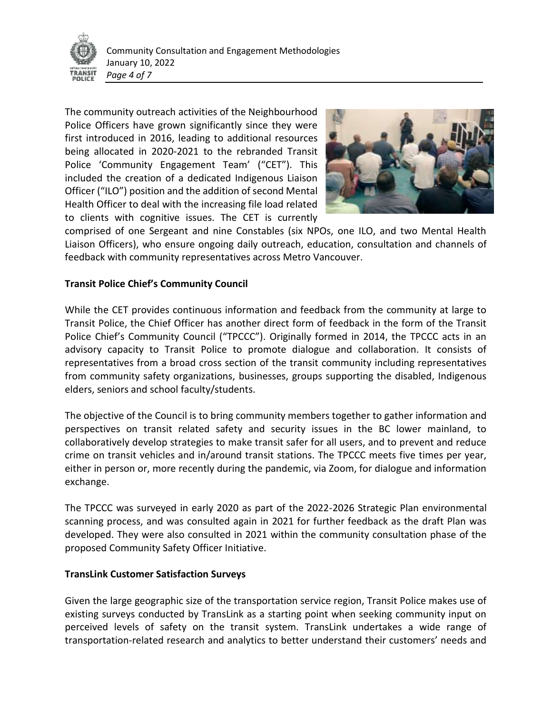

The community outreach activities of the Neighbourhood Police Officers have grown significantly since they were first introduced in 2016, leading to additional resources being allocated in 2020-2021 to the rebranded Transit Police 'Community Engagement Team' ("CET"). This included the creation of a dedicated Indigenous Liaison Officer ("ILO") position and the addition of second Mental Health Officer to deal with the increasing file load related to clients with cognitive issues. The CET is currently



comprised of one Sergeant and nine Constables (six NPOs, one ILO, and two Mental Health Liaison Officers), who ensure ongoing daily outreach, education, consultation and channels of feedback with community representatives across Metro Vancouver.

### **Transit Police Chief's Community Council**

While the CET provides continuous information and feedback from the community at large to Transit Police, the Chief Officer has another direct form of feedback in the form of the Transit Police Chief's Community Council ("TPCCC"). Originally formed in 2014, the TPCCC acts in an advisory capacity to Transit Police to promote dialogue and collaboration. It consists of representatives from a broad cross section of the transit community including representatives from community safety organizations, businesses, groups supporting the disabled, Indigenous elders, seniors and school faculty/students.

The objective of the Council is to bring community members together to gather information and perspectives on transit related safety and security issues in the BC lower mainland, to collaboratively develop strategies to make transit safer for all users, and to prevent and reduce crime on transit vehicles and in/around transit stations. The TPCCC meets five times per year, either in person or, more recently during the pandemic, via Zoom, for dialogue and information exchange.

The TPCCC was surveyed in early 2020 as part of the 2022-2026 Strategic Plan environmental scanning process, and was consulted again in 2021 for further feedback as the draft Plan was developed. They were also consulted in 2021 within the community consultation phase of the proposed Community Safety Officer Initiative.

### **TransLink Customer Satisfaction Surveys**

Given the large geographic size of the transportation service region, Transit Police makes use of existing surveys conducted by TransLink as a starting point when seeking community input on perceived levels of safety on the transit system. TransLink undertakes a wide range of transportation-related research and analytics to better understand their customers' needs and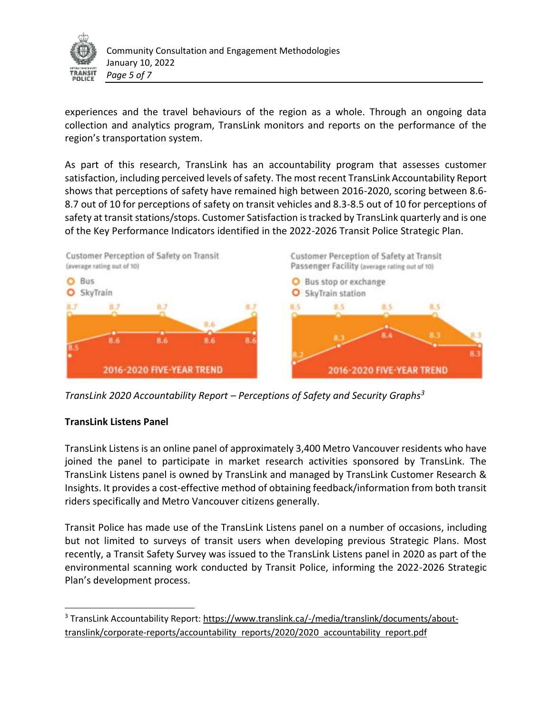

experiences and the travel behaviours of the region as a whole. Through an ongoing data collection and analytics program, TransLink monitors and reports on the performance of the region's transportation system.

As part of this research, TransLink has an accountability program that assesses customer satisfaction, including perceived levels of safety. The most recent TransLink Accountability Report shows that perceptions of safety have remained high between 2016-2020, scoring between 8.6- 8.7 out of 10 for perceptions of safety on transit vehicles and 8.3-8.5 out of 10 for perceptions of safety at transit stations/stops. Customer Satisfaction is tracked by TransLink quarterly and is one of the Key Performance Indicators identified in the 2022-2026 Transit Police Strategic Plan.



*TransLink 2020 Accountability Report – Perceptions of Safety and Security Graphs<sup>3</sup>*

# **TransLink Listens Panel**

l

TransLink Listens is an online panel of approximately 3,400 Metro Vancouver residents who have joined the panel to participate in market research activities sponsored by TransLink. The TransLink Listens panel is owned by TransLink and managed by TransLink Customer Research & Insights. It provides a cost-effective method of obtaining feedback/information from both transit riders specifically and Metro Vancouver citizens generally.

Transit Police has made use of the TransLink Listens panel on a number of occasions, including but not limited to surveys of transit users when developing previous Strategic Plans. Most recently, a Transit Safety Survey was issued to the TransLink Listens panel in 2020 as part of the environmental scanning work conducted by Transit Police, informing the 2022-2026 Strategic Plan's development process.

<sup>3</sup> TransLink Accountability Report: [https://www.translink.ca/-/media/translink/documents/about](https://www.translink.ca/-/media/translink/documents/about-translink/corporate-reports/accountability_reports/2020/2020_accountability_report.pdf)[translink/corporate-reports/accountability reports/2020/2020 accountability report.pdf](https://www.translink.ca/-/media/translink/documents/about-translink/corporate-reports/accountability_reports/2020/2020_accountability_report.pdf)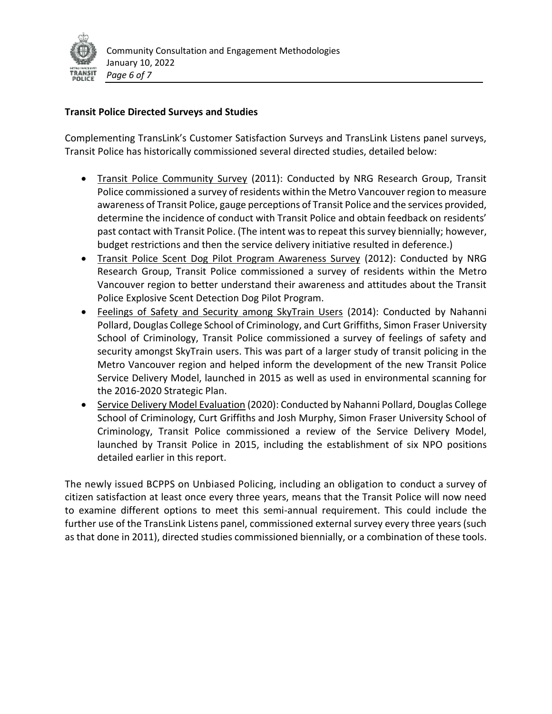

## **Transit Police Directed Surveys and Studies**

Complementing TransLink's Customer Satisfaction Surveys and TransLink Listens panel surveys, Transit Police has historically commissioned several directed studies, detailed below:

- Transit Police Community Survey (2011): Conducted by NRG Research Group, Transit Police commissioned a survey of residents within the Metro Vancouver region to measure awareness of Transit Police, gauge perceptions of Transit Police and the services provided, determine the incidence of conduct with Transit Police and obtain feedback on residents' past contact with Transit Police. (The intent was to repeat this survey biennially; however, budget restrictions and then the service delivery initiative resulted in deference.)
- Transit Police Scent Dog Pilot Program Awareness Survey (2012): Conducted by NRG Research Group, Transit Police commissioned a survey of residents within the Metro Vancouver region to better understand their awareness and attitudes about the Transit Police Explosive Scent Detection Dog Pilot Program.
- Feelings of Safety and Security among SkyTrain Users (2014): Conducted by Nahanni Pollard, Douglas College School of Criminology, and Curt Griffiths, Simon Fraser University School of Criminology, Transit Police commissioned a survey of feelings of safety and security amongst SkyTrain users. This was part of a larger study of transit policing in the Metro Vancouver region and helped inform the development of the new Transit Police Service Delivery Model, launched in 2015 as well as used in environmental scanning for the 2016-2020 Strategic Plan.
- Service Delivery Model Evaluation (2020): Conducted by Nahanni Pollard, Douglas College School of Criminology, Curt Griffiths and Josh Murphy, Simon Fraser University School of Criminology, Transit Police commissioned a review of the Service Delivery Model, launched by Transit Police in 2015, including the establishment of six NPO positions detailed earlier in this report.

The newly issued BCPPS on Unbiased Policing, including an obligation to conduct a survey of citizen satisfaction at least once every three years, means that the Transit Police will now need to examine different options to meet this semi-annual requirement. This could include the further use of the TransLink Listens panel, commissioned external survey every three years (such as that done in 2011), directed studies commissioned biennially, or a combination of these tools.